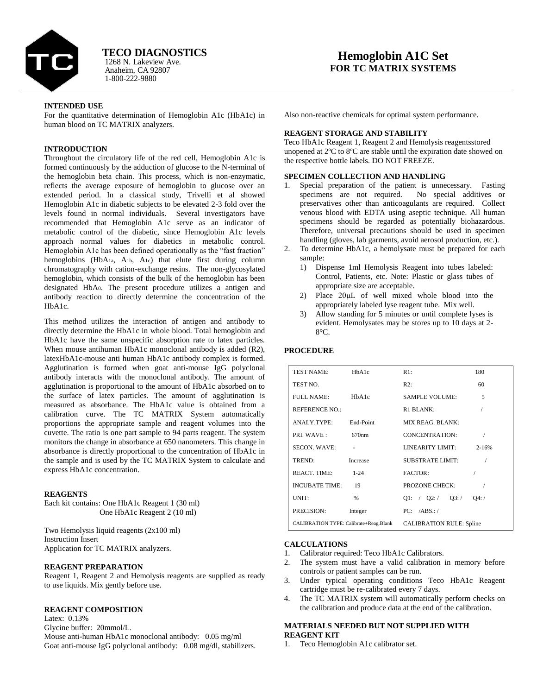

Anaheim, CA 92807 1-800-222-9880 1268 N. Lakeview Ave. **TECO DIAGNOSTICS**

# **Hemoglobin A1C Set FOR TC MATRIX SYSTEMS**

## **INTENDED USE**

For the quantitative determination of Hemoglobin A1c (HbA1c) in human blood on TC MATRIX analyzers.

# **INTRODUCTION**

Throughout the circulatory life of the red cell, Hemoglobin A1c is formed continuously by the adduction of glucose to the N-terminal of the hemoglobin beta chain. This process, which is non-enzymatic, reflects the average exposure of hemoglobin to glucose over an extended period. In a classical study, Trivelli et al showed Hemoglobin A1c in diabetic subjects to be elevated 2-3 fold over the levels found in normal individuals. Several investigators have recommended that Hemoglobin A1c serve as an indicator of metabolic control of the diabetic, since Hemoglobin A1c levels approach normal values for diabetics in metabolic control. Hemoglobin A1c has been defined operationally as the "fast fraction" hemoglobins (HbA1a, A1b, A1c) that elute first during column chromatography with cation-exchange resins. The non-glycosylated hemoglobin, which consists of the bulk of the hemoglobin has been designated HbA0. The present procedure utilizes a antigen and antibody reaction to directly determine the concentration of the HbA1c.

This method utilizes the interaction of antigen and antibody to directly determine the HbA1c in whole blood. Total hemoglobin and HbA1c have the same unspecific absorption rate to latex particles. When mouse antihuman HbA1c monoclonal antibody is added (R2), latexHbA1c-mouse anti human HbA1c antibody complex is formed. Agglutination is formed when goat anti-mouse IgG polyclonal antibody interacts with the monoclonal antibody. The amount of agglutination is proportional to the amount of HbA1c absorbed on to the surface of latex particles. The amount of agglutination is measured as absorbance. The HbA1c value is obtained from a calibration curve. The TC MATRIX System automatically proportions the appropriate sample and reagent volumes into the cuvette. The ratio is one part sample to 94 parts reagent. The system monitors the change in absorbance at 650 nanometers. This change in absorbance is directly proportional to the concentration of HbA1c in the sample and is used by the TC MATRIX System to calculate and express HbA1c concentration.

#### **REAGENTS**

Each kit contains: One HbA1c Reagent 1 (30 ml) One HbA1c Reagent 2 (10 ml)

Two Hemolysis liquid reagents (2x100 ml) Instruction Insert Application for TC MATRIX analyzers.

#### **REAGENT PREPARATION**

Reagent 1, Reagent 2 and Hemolysis reagents are supplied as ready to use liquids. Mix gently before use.

#### **REAGENT COMPOSITION**

Latex: 0.13% Glycine buffer: 20mmol/L. Mouse anti-human HbA1c monoclonal antibody: 0.05 mg/ml Goat anti-mouse IgG polyclonal antibody: 0.08 mg/dl, stabilizers. Also non-reactive chemicals for optimal system performance.

#### **REAGENT STORAGE AND STABILITY**

Teco HbA1c Reagent 1, Reagent 2 and Hemolysis reagentsstored unopened at 2ºC to 8ºC are stable until the expiration date showed on the respective bottle labels. DO NOT FREEZE.

#### **SPECIMEN COLLECTION AND HANDLING**

- Special preparation of the patient is unnecessary. Fasting specimens are not required. No special additives or preservatives other than anticoagulants are required. Collect venous blood with EDTA using aseptic technique. All human specimens should be regarded as potentially biohazardous. Therefore, universal precautions should be used in specimen handling (gloves, lab garments, avoid aerosol production, etc.).
- 2. To determine HbA1c, a hemolysate must be prepared for each sample:
	- 1) Dispense 1ml Hemolysis Reagent into tubes labeled: Control, Patients, etc. Note: Plastic or glass tubes of appropriate size are acceptable.
	- 2) Place  $20\mu L$  of well mixed whole blood into the appropriately labeled lyse reagent tube. Mix well.
	- 3) Allow standing for 5 minutes or until complete lyses is evident. Hemolysates may be stores up to 10 days at 2- 8°C.

#### **PROCEDURE**

| <b>TEST NAME:</b>                      | HbA1c             | R1:                             | 180            |
|----------------------------------------|-------------------|---------------------------------|----------------|
| TEST NO.                               |                   | R2:                             | 60             |
| FULL NAME:                             | HbA1c             | <b>SAMPLE VOLUME:</b>           | $\overline{5}$ |
| <b>REFERENCE NO.:</b>                  |                   | R <sub>1</sub> BLANK:           |                |
| ANALY.TYPE:                            | End-Point         | MIX REAG. BLANK:                |                |
| PRI. WAVE:                             | 670 <sub>nm</sub> | <b>CONCENTRATION:</b>           |                |
| <b>SECON. WAVE:</b>                    |                   | LINEARITY LIMIT:                | $2 - 16%$      |
| TREND:                                 | Increase          | <b>SUBSTRATE LIMIT:</b>         |                |
| <b>REACT. TIME:</b>                    | $1 - 24$          | <b>FACTOR:</b>                  |                |
| <b>INCUBATE TIME:</b>                  | 19                | PROZONE CHECK:                  |                |
| UNIT:                                  | %                 | Q1: / Q2: /<br>Q3: /            | Q4: /          |
| PRECISION:                             | Integer           | PC: /ABS.                       |                |
| CALIBRATION TYPE: Calibrate+Reag.Blank |                   | <b>CALIBRATION RULE: Spline</b> |                |

#### **CALCULATIONS**

- 1. Calibrator required: Teco HbA1c Calibrators.
- 2. The system must have a valid calibration in memory before controls or patient samples can be run.
- 3. Under typical operating conditions Teco HbA1c Reagent cartridge must be re-calibrated every 7 days.
- 4. The TC MATRIX system will automatically perform checks on the calibration and produce data at the end of the calibration.

### **MATERIALS NEEDED BUT NOT SUPPLIED WITH REAGENT KIT**

1. Teco Hemoglobin A1c calibrator set.